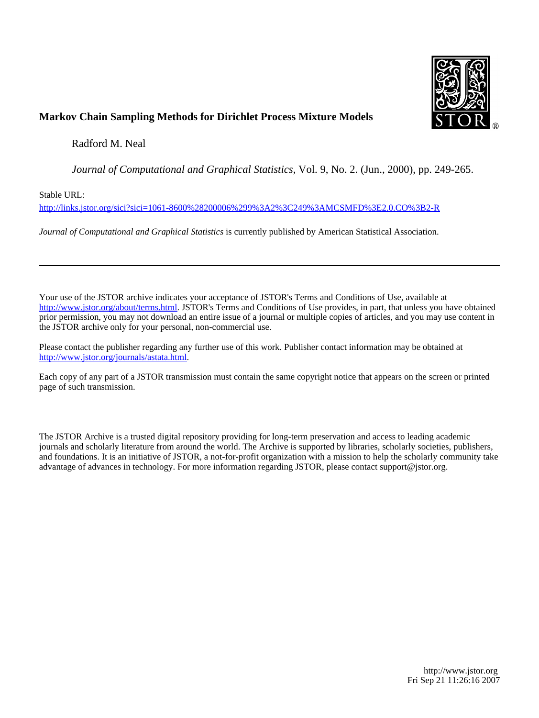

## **Markov Chain Sampling Methods for Dirichlet Process Mixture Models**

Radford M. Neal

*Journal of Computational and Graphical Statistics*, Vol. 9, No. 2. (Jun., 2000), pp. 249-265.

Stable URL:

<http://links.jstor.org/sici?sici=1061-8600%28200006%299%3A2%3C249%3AMCSMFD%3E2.0.CO%3B2-R>

*Journal of Computational and Graphical Statistics* is currently published by American Statistical Association.

Your use of the JSTOR archive indicates your acceptance of JSTOR's Terms and Conditions of Use, available at [http://www.jstor.org/about/terms.html.](http://www.jstor.org/about/terms.html) JSTOR's Terms and Conditions of Use provides, in part, that unless you have obtained prior permission, you may not download an entire issue of a journal or multiple copies of articles, and you may use content in the JSTOR archive only for your personal, non-commercial use.

Please contact the publisher regarding any further use of this work. Publisher contact information may be obtained at <http://www.jstor.org/journals/astata.html>.

Each copy of any part of a JSTOR transmission must contain the same copyright notice that appears on the screen or printed page of such transmission.

The JSTOR Archive is a trusted digital repository providing for long-term preservation and access to leading academic journals and scholarly literature from around the world. The Archive is supported by libraries, scholarly societies, publishers, and foundations. It is an initiative of JSTOR, a not-for-profit organization with a mission to help the scholarly community take advantage of advances in technology. For more information regarding JSTOR, please contact support@jstor.org.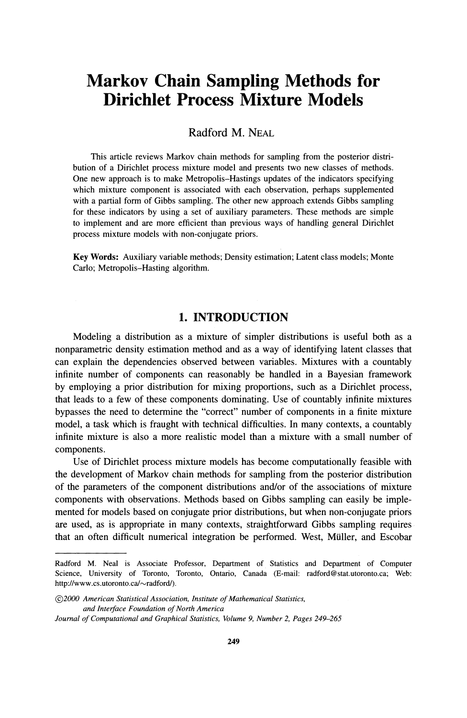## **Markov Chain Sampling Methods for Dirichlet Process Mixture Models**

Radford M. NEAL

This article reviews Markov chain methods for sampling from the posterior distribution of a Dirichlet process mixture model and presents two new classes of methods. One new approach is to make Metropolis-Hastings updates of the indicators specifying which mixture component is associated with each observation, perhaps supplemented with a partial form of Gibbs sampling. The other new approach extends Gibbs sampling for these indicators by using a set of auxiliary parameters. These methods are simple to implement and are more efficient than previous ways of handling general Dirichlet process mixture models with non-conjugate priors.

**Key Words:** Auxiliary variable methods; Density estimation; Latent class models; Monte Carlo; Metropolis-Hasting algorithm.

#### **1. INTRODUCTION**

Modeling a distribution as a mixture of simpler distributions is useful both as a nonparametric density estimation method and as a way of identifying latent classes that can explain the dependencies observed between variables. Mixtures with a countably infinite number of components can reasonably be handled in a Bayesian framework by employing a prior distribution for mixing proportions, such as a Dirichlet process, that leads to a few of these components dominating. Use of countably infinite mixtures bypasses the need to determine the "correct" number of components in a finite mixture model, a task which is fraught with technical difficulties. In many contexts, a countably infinite mixture is also a more realistic model than a mixture with a small number of components.

Use of Dirichlet process mixture models has become computationally feasible with the development of Markov chain methods for sampling from the posterior distribution of the parameters of the component distributions andlor of the associations of mixture components with observations. Methods based on Gibbs sampling can easily be implemented for models based on conjugate prior distributions, but when non-conjugate priors are used, as is appropriate in many contexts, straightforward Gibbs sampling requires that an often difficult numerical integration be performed. West, Miiller, and Escobar

Radford M. Neal is Associate Professor, Department of Statistics and Department of Computer Science, University of Toronto, Toronto, Ontario, Canada (E-mail: radford@stat.utoronto.ca; Web: http://www.cs.utoronto.ca/~radford/).

*<sup>02000</sup> American Statistical Association, Institute of Mathematical Statistics, and Interjace Foundation of North America* 

*Journal of Computational and Graphical Statistics, Volume 9, Number 2, Pages 249-265*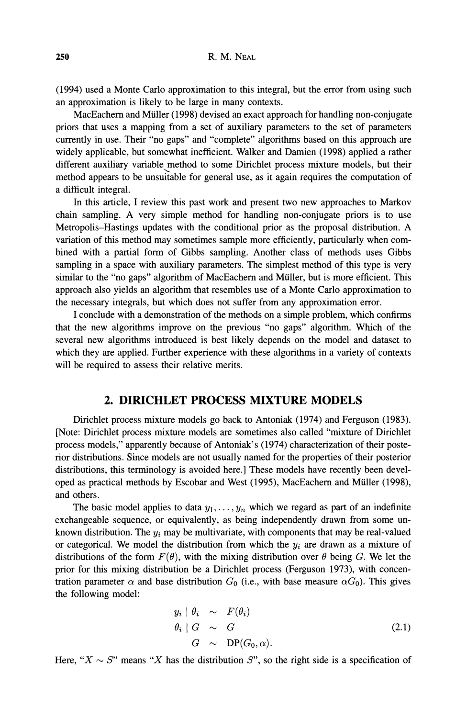(1994) used a Monte Carlo approximation to this integral, but the error from using such an approximation is likely to be large in many contexts.

MacEachern and Muller (1998) devised an exact approach for handling non-conjugate priors that uses a mapping from a set of auxiliary parameters to the set of parameters currently in use. Their "no gaps" and "complete" algorithms based on this approach are widely applicable, but somewhat inefficient. Walker and Damien (1998) applied a rather different auxiliary variable method to some Dirichlet process mixture models, but their method appears to be unsuitable for general use, as it again requires the computation of a difficult integral.

In this article, I review this past work and present two new approaches to Markov chain sampling. A very simple method for handling non-conjugate priors is to use Metropolis-Hastings updates with the conditional prior as the proposal distribution. A variation of this method may sometimes sample more efficiently, particularly when combined with a partial form of Gibbs sampling. Another class of methods uses Gibbs sampling in a space with auxiliary parameters. The simplest method of this type is very similar to the "no gaps" algorithm of MacEachern and Miiller, but is more efficient. This approach also yields an algorithm that resembles use of a Monte Carlo approximation to the necessary integrals, but which does not suffer from any approximation error.

I conclude with a demonstration of the methods on a simple problem, which confirms that the new algorithms improve on the previous "no gaps" algorithm. Which of the several new algorithms introduced is best likely depends on the model and dataset to which they are applied. Further experience with these algorithms in a variety of contexts will be required to assess their relative merits.

#### **2. DIRICHLET PROCESS MIXTURE MODELS**

Dirichlet process mixture models go back to Antoniak (1974) and Ferguson (1983). [Note: Dirichlet process mixture models are sometimes also called "mixture of Dirichlet process models," apparently because of Antoniak's (1974) characterization of their posterior distributions. Since models are not usually named for the properties of their posterior distributions, this terminology is avoided here.] These models have recently been developed as practical methods by Escobar and West (1995), MacEachern and Muller (1998), and others.

The basic model applies to data  $y_1, \ldots, y_n$  which we regard as part of an indefinite exchangeable sequence, or equivalently, as being independently drawn from some unknown distribution. The  $y_i$  may be multivariate, with components that may be real-valued or categorical. We model the distribution from which the  $y_i$  are drawn as a mixture of distributions of the form  $F(\theta)$ , with the mixing distribution over  $\theta$  being G. We let the prior for this mixing distribution be a Dirichlet process (Ferguson 1973), with concentration parameter  $\alpha$  and base distribution  $G_0$  (i.e., with base measure  $\alpha G_0$ ). This gives the following model:

$$
y_i \mid \theta_i \sim F(\theta_i) \n\theta_i \mid G \sim G \nG \sim DP(G_0, \alpha).
$$
\n(2.1)

Here, " $X \sim S$ " means "X has the distribution S", so the right side is a specification of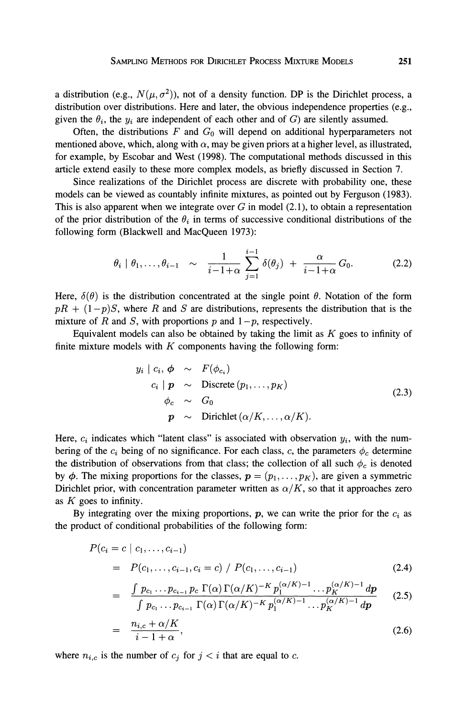a distribution (e.g.,  $N(\mu, \sigma^2)$ ), not of a density function. DP is the Dirichlet process, a distribution over distributions. Here and later, the obvious independence properties (e.g., given the  $\theta_i$ , the  $y_i$  are independent of each other and of G) are silently assumed.

Often, the distributions  $F$  and  $G_0$  will depend on additional hyperparameters not mentioned above, which, along with  $\alpha$ , may be given priors at a higher level, as illustrated, for example, by Escobar and West (1998). The computational methods discussed in this article extend easily to these more complex models, as briefly discussed in Section 7.

Since realizations of the Dirichlet process are discrete with probability one, these models can be viewed as countably infinite mixtures, as pointed out by Ferguson (1983). This is also apparent when we integrate over  $G$  in model (2.1), to obtain a representation of the prior distribution of the  $\theta_i$  in terms of successive conditional distributions of the following form (Blackwell and MacQueen 1973):

$$
\theta_i \mid \theta_1, \ldots, \theta_{i-1} \sim \frac{1}{i-1+\alpha} \sum_{j=1}^{i-1} \delta(\theta_j) + \frac{\alpha}{i-1+\alpha} G_0.
$$
 (2.2)

Here,  $\delta(\theta)$  is the distribution concentrated at the single point  $\theta$ . Notation of the form  $pR + (1-p)S$ , where R and S are distributions, represents the distribution that is the mixture of R and S, with proportions p and  $1-p$ , respectively.

Equivalent models can also be obtained by taking the limit as  $K$  goes to infinity of finite mixture models with  $K$  components having the following form:

$$
y_i \mid c_i, \phi \sim F(\phi_{c_i})
$$
  
\n
$$
c_i \mid \mathbf{p} \sim \text{Discrete}(p_1, \dots, p_K)
$$
  
\n
$$
\phi_c \sim G_0
$$
  
\n
$$
\mathbf{p} \sim \text{Dirichlet}(\alpha/K, \dots, \alpha/K).
$$
\n(2.3)

Here,  $c_i$  indicates which "latent class" is associated with observation  $y_i$ , with the numbering of the  $c_i$  being of no significance. For each class, c, the parameters  $\phi_c$  determine the distribution of observations from that class; the collection of all such  $\phi_c$  is denoted by  $\phi$ . The mixing proportions for the classes,  $p = (p_1, \ldots, p_K)$ , are given a symmetric Dirichlet prior, with concentration parameter written as  $\alpha/K$ , so that it approaches zero as  $K$  goes to infinity.

By integrating over the mixing proportions,  $p$ , we can write the prior for the  $c_i$  as the product of conditional probabilities of the following form:

$$
P(c_i = c \mid c_1, \dots, c_{i-1})
$$
  
=  $P(c_1, \dots, c_{i-1}, c_i = c) / P(c_1, \dots, c_{i-1})$  (2.4)

$$
= \frac{\int p_{c_1} \dots p_{c_{i-1}} p_c \Gamma(\alpha) \Gamma(\alpha/K)^{-K} p_1^{(\alpha/K)-1} \dots p_K^{(\alpha/K)-1} dp}{\int p_{c_1} \dots p_{c_{i-1}} \Gamma(\alpha) \Gamma(\alpha/K)^{-K} p_1^{(\alpha/K)-1} \dots p_K^{(\alpha/K)-1} dp}
$$
(2.5)

$$
= \frac{n_{i,c} + \alpha/K}{i - 1 + \alpha}, \tag{2.6}
$$

where  $n_{i,c}$  is the number of  $c_j$  for  $j < i$  that are equal to c.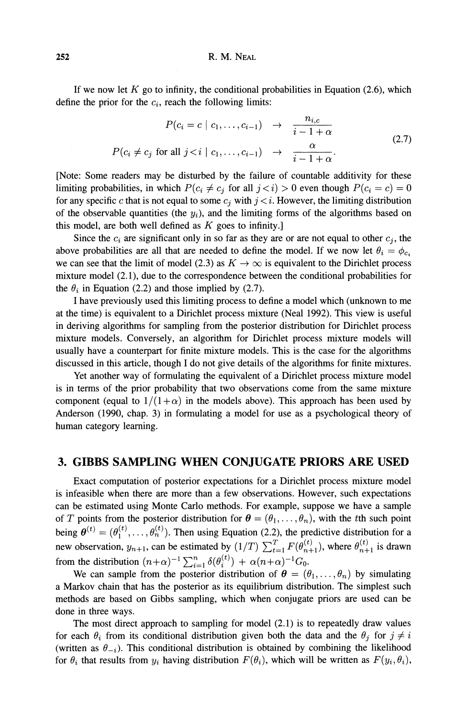If we now let  $K$  go to infinity, the conditional probabilities in Equation (2.6), which define the prior for the *ci,* reach the following limits:

$$
P(c_i = c \mid c_1, \dots, c_{i-1}) \rightarrow \frac{n_{i,c}}{i-1+\alpha}
$$
  
 
$$
P(c_i \neq c_j \text{ for all } j < i \mid c_1, \dots, c_{i-1}) \rightarrow \frac{\alpha}{i-1+\alpha}.
$$
 (2.7)

[Note: Some readers may be disturbed by the failure of countable additivity for these limiting probabilities, in which  $P(c_i \neq c_j \text{ for all } j \lt i) > 0$  even though  $P(c_i = c) = 0$ for any specific *c* that is not equal to some  $c_j$  with  $j \lt i$ . However, the limiting distribution of the observable quantities (the  $y_i$ ), and the limiting forms of the algorithms based on this model, are both well defined as  $K$  goes to infinity.]

Since the  $c_i$  are significant only in so far as they are or are not equal to other  $c_j$ , the above probabilities are all that are needed to define the model. If we now let  $\theta_i = \phi_{c_i}$ we can see that the limit of model (2.3) as  $K \to \infty$  is equivalent to the Dirichlet process mixture model (2.1), due to the correspondence between the conditional probabilities for the  $\theta_i$  in Equation (2.2) and those implied by (2.7).

I have previously used this limiting process to define a model which (unknown to me at the time) is equivalent to a Dirichlet process mixture (Neal 1992). This view is useful in deriving algorithms for sampling from the posterior distribution for Dirichlet process mixture models. Conversely, an algorithm for Dirichlet process mixture models will usually have a counterpart for finite mixture models. This is the case for the algorithms discussed in this article, though I do not give details of the algorithms for finite mixtures.

Yet another way of formulating the equivalent of a Dirichlet process mixture model is in terms of the prior probability that two observations come from the same mixture component (equal to  $1/(1+\alpha)$  in the models above). This approach has been used by Anderson (1990, chap. 3) in formulating a model for use as a psychological theory of human category learning.

#### **3. GIBBS SAMPLING WHEN CONJUGATE PRIORS ARE USED**

Exact computation of posterior expectations for a Dirichlet process mixture model is infeasible when there are more than a few observations. However, such expectations can be estimated using Monte Carlo methods. For example, suppose we have a sample of *T* points from the posterior distribution for  $\theta = (\theta_1, \dots, \theta_n)$ , with the tth such point being  $\boldsymbol{\theta}^{(t)}=(\theta_1^{(t)},\ldots,\theta_n^{(t)})$ . Then using Equation (2.2), the predictive distribution for a new observation,  $y_{n+1}$ , can be estimated by  $(1/T) \sum_{t=1}^{T} F(\theta_{n+1}^{(t)})$ , where  $\theta_{n+1}^{(t)}$  is drawn from the distribution  $(n+\alpha)^{-1} \sum_{i=1}^n \delta(\theta_i^{(t)}) + \alpha(n+\alpha)^{-1} G_0$ .

We can sample from the posterior distribution of  $\theta = (\theta_1, \dots, \theta_n)$  by simulating a Markov chain that has the posterior as its equilibrium distribution. The simplest such methods are based on Gibbs sampling, which when conjugate priors are used can be done in three ways.

The most direct approach to sampling for model *(2.1)*is to repeatedly draw values for each  $\theta_i$  from its conditional distribution given both the data and the  $\theta_j$  for  $j \neq i$ (written as  $\theta_{-i}$ ). This conditional distribution is obtained by combining the likelihood for  $\theta_i$  that results from  $y_i$  having distribution  $F(\theta_i)$ , which will be written as  $F(y_i, \theta_i)$ ,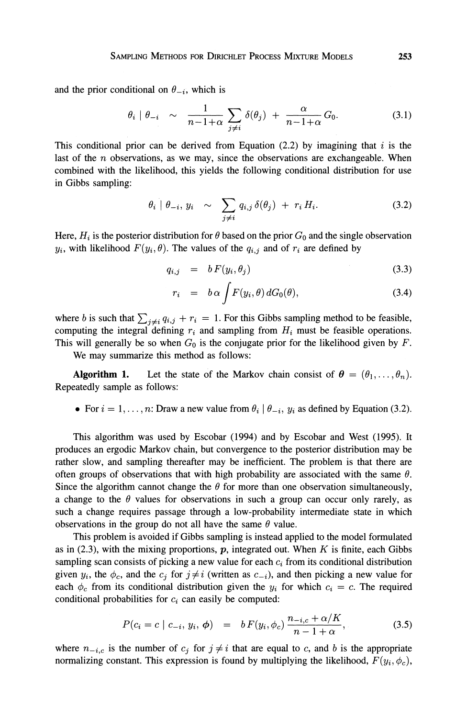and the prior conditional on  $\theta_{-i}$ , which is

$$
\theta_i \mid \theta_{-i} \sim \frac{1}{n-1+\alpha} \sum_{j \neq i} \delta(\theta_j) + \frac{\alpha}{n-1+\alpha} G_0. \tag{3.1}
$$

This conditional prior can be derived from Equation (2.2) by imagining that i is the last of the *n* observations, as we may, since the observations are exchangeable. When combined with the likelihood, this yields the following conditional distribution for use in Gibbs sampling:

$$
\theta_i \mid \theta_{-i}, y_i \sim \sum_{j \neq i} q_{i,j} \,\delta(\theta_j) + r_i \, H_i. \tag{3.2}
$$

Here,  $H_i$  is the posterior distribution for  $\theta$  based on the prior  $G_0$  and the single observation *y<sub>i</sub>*, with likelihood  $F(y_i, \theta)$ . The values of the  $q_{i,j}$  and of  $r_i$  are defined by

$$
q_{i,j} = b F(y_i, \theta_j) \tag{3.3}
$$

$$
r_i = b \alpha \int F(y_i, \theta) dG_0(\theta), \qquad (3.4)
$$

where b is such that  $\sum_{j \neq i} q_{i,j} + r_i = 1$ . For this Gibbs sampling method to be feasible, computing the integral defining  $r_i$  and sampling from  $H_i$  must be feasible operations. This will generally be so when  $G_0$  is the conjugate prior for the likelihood given by  $F$ .

We may summarize this method as follows:

**Algorithm 1.** Let the state of the Markov chain consist of  $\theta = (\theta_1, \dots, \theta_n)$ . Repeatedly sample as follows:

• For  $i = 1, \ldots, n$ : Draw a new value from  $\theta_i \mid \theta_{-i}$ ,  $y_i$  as defined by Equation (3.2).

This algorithm was used by Escobar (1994) and by Escobar and West (1995). It produces an ergodic Markov chain, but convergence to the posterior distribution may be rather slow, and sampling thereafter may be inefficient. The problem is that there are often groups of observations that with high probability are associated with the same  $\theta$ . Since the algorithm cannot change the  $\theta$  for more than one observation simultaneously, a change to the  $\theta$  values for observations in such a group can occur only rarely, as such a change requires passage through a low-probability intermediate state in which observations in the group do not all have the same  $\theta$  value.

This problem is avoided if Gibbs sampling is instead applied to the model formulated as in (2.3), with the mixing proportions,  $p$ , integrated out. When K is finite, each Gibbs sampling scan consists of picking a new value for each *ci* from its conditional distribution given  $y_i$ , the  $\phi_c$ , and the  $c_j$  for  $j \neq i$  (written as  $c_{-i}$ ), and then picking a new value for each  $\phi_c$  from its conditional distribution given the  $y_i$  for which  $c_i = c$ . The required conditional probabilities for  $c_i$  can easily be computed:

$$
P(c_i = c \mid c_{-i}, y_i, \phi) = b F(y_i, \phi_c) \frac{n_{-i,c} + \alpha/K}{n - 1 + \alpha}, \qquad (3.5)
$$

where  $n_{-i,c}$  is the number of  $c_j$  for  $j \neq i$  that are equal to *c*, and *b* is the appropriate normalizing constant. This expression is found by multiplying the likelihood,  $F(y_i, \phi_c)$ ,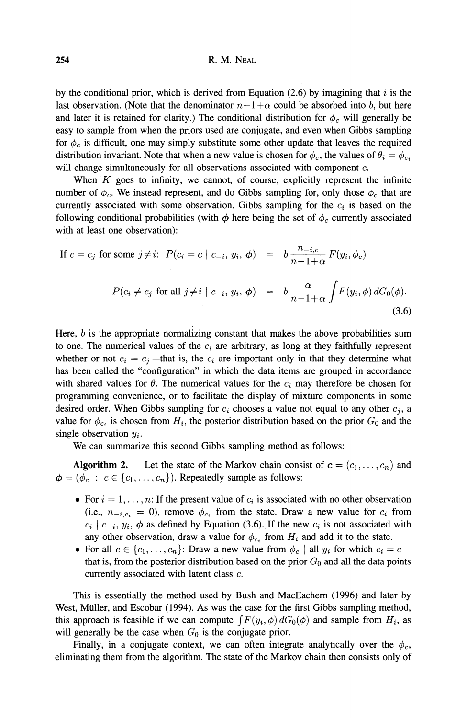by the conditional prior, which is derived from Equation (2.6) by imagining that i is the last observation. (Note that the denominator  $n-1+\alpha$  could be absorbed into b, but here and later it is retained for clarity.) The conditional distribution for  $\phi_c$  will generally be easy to sample from when the priors used are conjugate, and even when Gibbs sampling for  $\phi_c$  is difficult, one may simply substitute some other update that leaves the required distribution invariant. Note that when a new value is chosen for  $\phi_c$ , the values of  $\theta_i = \phi_{c_i}$ will change simultaneously for all observations associated with component *c.* 

When  $K$  goes to infinity, we cannot, of course, explicitly represent the infinite number of  $\phi_c$ . We instead represent, and do Gibbs sampling for, only those  $\phi_c$  that are currently associated with some observation. Gibbs sampling for the  $c_i$  is based on the following conditional probabilities (with  $\phi$  here being the set of  $\phi_c$  currently associated with at least one observation):

number of 
$$
\varphi_c
$$
. We instead represent, and do Gibbs sampling for, only those  $\varphi_c$  that are  
\nurrently associated with some observation. Gibbs sampling for the  $c_i$  is based on the  
\nollowing conditional probabilities (with  $\phi$  here being the set of  $\phi_c$  currently associated  
\nwith at least one observation):

\nIf  $c = c_j$  for some  $j \neq i$ :  $P(c_i = c \mid c_{-i}, y_i, \phi) = b \frac{n_{-i,c}}{n-1+\alpha} F(y_i, \phi_c)$ 

\n $P(c_i \neq c_j \text{ for all } j \neq i \mid c_{-i}, y_i, \phi) = b \frac{\alpha}{n-1+\alpha} \int F(y_i, \phi) dG_0(\phi)$ .

\n(3.6)

Here,  $b$  is the appropriate normalizing constant that makes the above probabilities sum to one. The numerical values of the  $c_i$  are arbitrary, as long at they faithfully represent whether or not  $c_i = c_j$ —that is, the  $c_i$  are important only in that they determine what has been called the "configuration" in which the data items are grouped in accordance with shared values for  $\theta$ . The numerical values for the  $c_i$  may therefore be chosen for programming convenience, or to facilitate the display of mixture components in some desired order. When Gibbs sampling for  $c_i$  chooses a value not equal to any other  $c_i$ , a value for  $\phi_{c_i}$  is chosen from  $H_i$ , the posterior distribution based on the prior  $G_0$  and the single observation *yi* .

We can summarize this second Gibbs sampling method as follows:

**Algorithm 2.** Let the state of the Markov chain consist of  $c = (c_1, \ldots, c_n)$  and  $\phi = (\phi_c : c \in \{c_1, \ldots, c_n\})$ . Repeatedly sample as follows:

- For  $i = 1, \ldots, n$ : If the present value of  $c_i$  is associated with no other observation (i.e.,  $n_{-i,c_i} = 0$ ), remove  $\phi_{c_i}$  from the state. Draw a new value for  $c_i$  from  $c_i \mid c_{-i}, y_i, \phi$  as defined by Equation (3.6). If the new  $c_i$  is not associated with any other observation, draw a value for  $\phi_c$ , from  $H_i$  and add it to the state.
- For all  $c \in \{c_1, \ldots, c_n\}$ : Draw a new value from  $\phi_c$  | all  $y_i$  for which  $c_i = c$  that is, from the posterior distribution based on the prior  $G_0$  and all the data points currently associated with latent class *c.*

This is essentially the method used by Bush and MacEachern (1996) and later by West, Miiller, and Escobar (1994). As was the case for the first Gibbs sampling method, this approach is feasible if we can compute  $\int F(y_i, \phi) dG_0(\phi)$  and sample from  $H_i$ , as will generally be the case when  $G_0$  is the conjugate prior.

Finally, in a conjugate context, we can often integrate analytically over the  $\phi_c$ , eliminating them from the algorithm. The state of the Markov chain then consists only of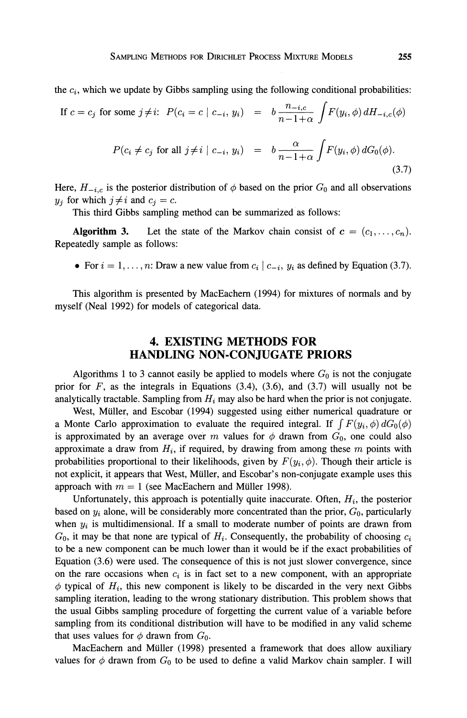the  $c_i$ , which we update by Gibbs sampling using the following conditional probabilities:

SAMPLING METHODS FOR DIRICHLET Process MIXTURE MODELS  
ne 
$$
c_i
$$
, which we update by Gibbs sampling using the following conditional probabilities:  
If  $c = c_j$  for some  $j \neq i$ :  $P(c_i = c \mid c_{-i}, y_i) = b \frac{n_{-i,c}}{n-1+\alpha} \int F(y_i, \phi) dH_{-i,c}(\phi)$   

$$
P(c_i \neq c_j \text{ for all } j \neq i \mid c_{-i}, y_i) = b \frac{\alpha}{n-1+\alpha} \int F(y_i, \phi) dG_0(\phi).
$$
(3.7)

Here,  $H_{-i,c}$  is the posterior distribution of  $\phi$  based on the prior  $G_0$  and all observations *y<sub>j</sub>* for which  $j \neq i$  and  $c_j = c$ .

This third Gibbs sampling method can be summarized as follows:

**Algorithm 3.** Let the state of the Markov chain consist of  $c = (c_1, \ldots, c_n)$ . Repeatedly sample as follows:

• For  $i = 1, \ldots, n$ : Draw a new value from  $c_i | c_{-i}, y_i$  as defined by Equation (3.7).

This algorithm is presented by MacEachern (1994) for mixtures of normals and by myself (Neal 1992) for models of categorical data.

#### **4. EXISTING METHODS FOR HANDLING NON-CONJUGATE PRIORS**

Algorithms 1 to 3 cannot easily be applied to models where  $G_0$  is not the conjugate prior for  $F$ , as the integrals in Equations (3.4), (3.6), and (3.7) will usually not be analytically tractable. Sampling from *Hi* may also be hard when the prior is not conjugate.

West, Müller, and Escobar (1994) suggested using either numerical quadrature or a Monte Carlo approximation to evaluate the required integral. If  $\int F(y_i, \phi) dG_0(\phi)$ is approximated by an average over m values for  $\phi$  drawn from  $G_0$ , one could also approximate a draw from  $H_i$ , if required, by drawing from among these  $m$  points with probabilities proportional to their likelihoods, given by  $F(y_i, \phi)$ . Though their article is not explicit, it appears that West, Muller, and Escobar's non-conjugate example uses this approach with  $m = 1$  (see MacEachern and Müller 1998).

Unfortunately, this approach is potentially quite inaccurate. Often,  $H<sub>i</sub>$ , the posterior based on  $y_i$  alone, will be considerably more concentrated than the prior,  $G_0$ , particularly when *yi* is multidimensional. If a small to moderate number of points are drawn from  $G_0$ , it may be that none are typical of  $H_i$ . Consequently, the probability of choosing  $c_i$ to be a new component can be much lower than it would be if the exact probabilities of Equation (3.6) were used. The consequence of this is not just slower convergence, since on the rare occasions when  $c_i$  is in fact set to a new component, with an appropriate  $\phi$  typical of  $H_i$ , this new component is likely to be discarded in the very next Gibbs sampling iteration, leading to the wrong stationary distribution. This problem shows that the usual Gibbs sampling procedure of forgetting the current value of 'a variable before sampling from its conditional distribution will have to be modified in any valid scheme that uses values for  $\phi$  drawn from  $G_0$ .

MacEachern and Muller (1998) presented a framework that does allow auxiliary values for  $\phi$  drawn from  $G_0$  to be used to define a valid Markov chain sampler. I will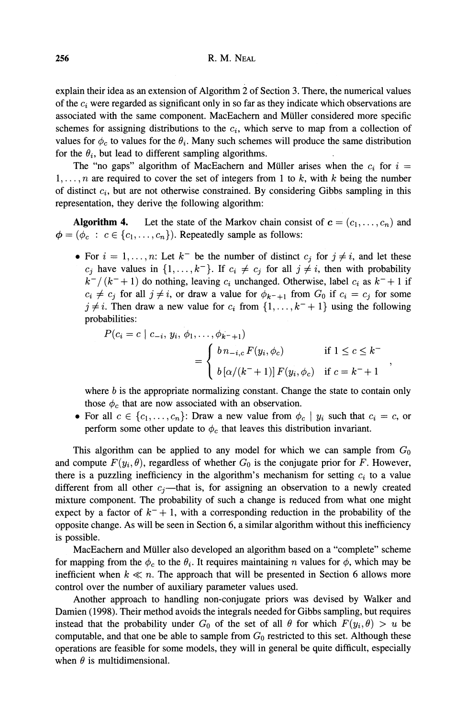explain their idea as an extension of Algorithm 2 of Section 3. There, the numerical values of the *ci* were regarded as significant only in so far as they indicate which observations are associated with the same component. MacEachern and Muller considered more specific schemes for assigning distributions to the  $c_i$ , which serve to map from a collection of values for  $\phi_c$  to values for the  $\theta_i$ . Many such schemes will produce the same distribution for the  $\theta_i$ , but lead to different sampling algorithms.

The "no gaps" algorithm of MacEachern and Müller arises when the  $c_i$  for  $i =$  $1, \ldots, n$  are required to cover the set of integers from 1 to  $k$ , with  $k$  being the number of distinct *ci,* but are not otherwise constrained. By considering Gibbs sampling in this representation, they derive the following algorithm:

**Algorithm 4.** Let the state of the Markov chain consist of  $c = (c_1, \ldots, c_n)$  and  $\phi = (\phi_c : c \in \{c_1, \ldots, c_n\})$ . Repeatedly sample as follows:

• For  $i = 1, ..., n$ : Let  $k^-$  be the number of distinct  $c_i$  for  $j \neq i$ , and let these  $c_j$  have values in  $\{1, \ldots, k^-\}$ . If  $c_i \neq c_j$  for all  $j \neq i$ , then with probability  $k^{-}/(k^{-}+1)$  do nothing, leaving  $c_i$  unchanged. Otherwise, label  $c_i$  as  $k^{-}+1$  if  $c_i \neq c_j$  for all  $j \neq i$ , or draw a value for  $\phi_{k^-+1}$  from  $G_0$  if  $c_i = c_j$  for some  $j \neq i$ . Then draw a new value for  $c_i$  from  $\{1, \ldots, k^{-} + 1\}$  using the following probabilities:

$$
P(c_i = c \mid c_{-i}, y_i, \phi_1, \dots, \phi_{k^-+1})
$$
  
= 
$$
\begin{cases} b n_{-i,c} F(y_i, \phi_c) & \text{if } 1 \le c \le k^- \\ b [\alpha/(k^-+1)] F(y_i, \phi_c) & \text{if } c = k^-+1 \end{cases}
$$

where  $b$  is the appropriate normalizing constant. Change the state to contain only those  $\phi_c$  that are now associated with an observation.

• For all  $c \in \{c_1, \ldots, c_n\}$ : Draw a new value from  $\phi_c \mid y_i$  such that  $c_i = c$ , or perform some other update to  $\phi_c$  that leaves this distribution invariant.

This algorithm can be applied to any model for which we can sample from  $G_0$ and compute  $F(y_i, \theta)$ , regardless of whether  $G_0$  is the conjugate prior for *F*. However, there is a puzzling inefficiency in the algorithm's mechanism for setting  $c_i$  to a value different from all other  $c_j$ —that is, for assigning an observation to a newly created mixture component. The probability of such a change is reduced from what one might expect by a factor of  $k^- + 1$ , with a corresponding reduction in the probability of the opposite change. As will be seen in Section 6, a similar algorithm without this inefficiency is possible.

MacEachern and Muller also developed an algorithm based on a "complete" scheme for mapping from the  $\phi_c$  to the  $\theta_i$ . It requires maintaining n values for  $\phi$ , which may be inefficient when  $k \ll n$ . The approach that will be presented in Section 6 allows more control over the number of auxiliary parameter values used.

Another approach to handling non-conjugate priors was devised by Walker and Damien *(1998).*Their method avoids the integrals needed for Gibbs sampling, but requires instead that the probability under  $G_0$  of the set of all  $\theta$  for which  $F(y_i, \theta) > u$  be computable, and that one be able to sample from  $G_0$  restricted to this set. Although these operations are feasible for some models, they will in general be quite difficult, especially when  $\theta$  is multidimensional.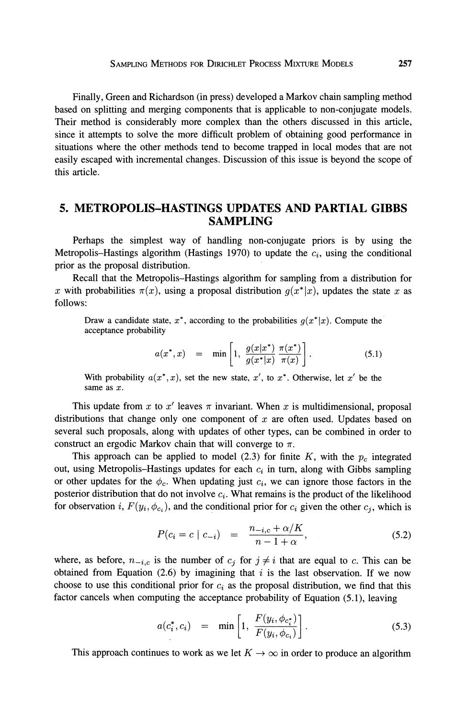Finally, Green and Richardson (in press) developed a Markov chain sampling method based on splitting and merging components that is applicable to non-conjugate models. Their method is considerably more complex than the others discussed in this article, since it attempts to solve the more difficult problem of obtaining good performance in situations where the other methods tend to become trapped in local modes that are not easily escaped with incremental changes. Discussion of this issue is beyond the scope of this article.

#### **5. METROPOLIS-HASTINGS UPDATES AND PARTIAL GIBBS SAMPLING**

Perhaps the simplest way of handling non-conjugate priors is by using the Metropolis-Hastings algorithm (Hastings 1970) to update the  $c_i$ , using the conditional prior as the proposal distribution.

Recall that the Metropolis-Hastings algorithm for sampling from a distribution for x with probabilities  $\pi(x)$ , using a proposal distribution  $q(x^*|x)$ , updates the state x as follows:

Draw a candidate state,  $x^*$ , according to the probabilities  $g(x^*|x)$ . Compute the acceptance probability

$$
a(x^*, x) = \min \left[ 1, \frac{g(x|x^*)}{g(x^*|x)} \frac{\pi(x^*)}{\pi(x)} \right]. \tag{5.1}
$$

With probability  $a(x^*, x)$ , set the new state, x', to x<sup>\*</sup>. Otherwise, let x' be the same as x.

This update from x to x' leaves  $\pi$  invariant. When x is multidimensional, proposal distributions that change only one component of  $x$  are often used. Updates based on several such proposals, along with updates of other types, can be combined in order to construct an ergodic Markov chain that will converge to  $\pi$ .

This approach can be applied to model  $(2.3)$  for finite *K*, with the  $p_c$  integrated out, using Metropolis-Hastings updates for each  $c_i$  in turn, along with Gibbs sampling or other updates for the  $\phi_c$ . When updating just  $c_i$ , we can ignore those factors in the posterior distribution that do not involve  $c_i$ . What remains is the product of the likelihood for observation *i*,  $F(y_i, \phi_{c_i})$ , and the conditional prior for  $c_i$  given the other  $c_j$ , which is

$$
P(c_i = c \mid c_{-i}) = \frac{n_{-i,c} + \alpha/K}{n - 1 + \alpha}, \tag{5.2}
$$

where, as before,  $n_{-i,c}$  is the number of  $c_j$  for  $j \neq i$  that are equal to c. This can be obtained from Equation  $(2.6)$  by imagining that i is the last observation. If we now choose to use this conditional prior for  $c_i$  as the proposal distribution, we find that this factor cancels when computing the acceptance probability of Equation *(5.*I), leaving

$$
a(c_i^*, c_i) = \min \left[1, \frac{F(y_i, \phi_{c_i^*})}{F(y_i, \phi_{c_i})}\right].
$$
 (5.3)

This approach continues to work as we let  $K \to \infty$  in order to produce an algorithm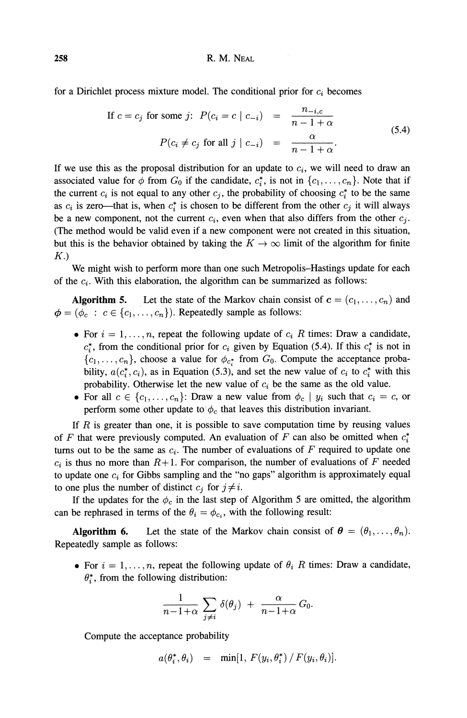for a Dirichlet process mixture model. The conditional prior for  $c_i$  becomes

If 
$$
c = c_j
$$
 for some j:  $P(c_i = c \mid c_{-i}) = \frac{n_{-i,c}}{n - 1 + \alpha}$   

$$
P(c_i \neq c_j \text{ for all } j \mid c_{-i}) = \frac{\alpha}{n - 1 + \alpha}.
$$
 (5.4)

If we use this as the proposal distribution for an update to *ci,* we will need to draw an associated value for  $\phi$  from  $G_0$  if the candidate,  $c_i^*$ , is not in  $\{c_1, \ldots, c_n\}$ . Note that if the current  $c_i$  is not equal to any other  $c_j$ , the probability of choosing  $c_i^*$  to be the same as  $c_i$  is zero—that is, when  $c_i^*$  is chosen to be different from the other  $c_j$  it will always be a new component, not the current  $c_i$ , even when that also differs from the other  $c_j$ . (The method would be valid even if a new component were not created in this situation, but this is the behavior obtained by taking the  $K \to \infty$  limit of the algorithm for finite  $K.$ 

We might wish to perform more than one such Metropolis-Hastings update for each of the  $c_i$ . With this elaboration, the algorithm can be summarized as follows:

**Algorithm 5.** Let the state of the Markov chain consist of  $c = (c_1, \ldots, c_n)$  and  $\phi = (\phi_c : c \in \{c_1, \ldots, c_n\})$ . Repeatedly sample as follows:

- For  $i = 1, \ldots, n$ , repeat the following update of  $c_i$  R times: Draw a candidate,  $c_i^*$ , from the conditional prior for  $c_i$  given by Equation (5.4). If this  $c_i^*$  is not in  $\{c_1, \ldots, c_n\}$ , choose a value for  $\phi_{c^*}$  from  $G_0$ . Compute the acceptance probability,  $a(c_i^*, c_i)$ , as in Equation (5.3), and set the new value of  $c_i$  to  $c_i^*$  with this probability. Otherwise let the new value of *ci* be the same as the old value.
- For all  $c \in \{c_1, \ldots, c_n\}$ : Draw a new value from  $\phi_c \mid y_i$  such that  $c_i = c$ , or perform some other update to  $\phi_c$  that leaves this distribution invariant.

If  $R$  is greater than one, it is possible to save computation time by reusing values of *F* that were previously computed. An evaluation of *F* can also be omitted when  $c_i^*$ turns out to be the same as  $c_i$ . The number of evaluations of  $F$  required to update one  $c_i$  is thus no more than  $R+1$ . For comparison, the number of evaluations of F needed to update one  $c_i$  for Gibbs sampling and the "no gaps" algorithm is approximately equal to one plus the number of distinct  $c_i$  for  $j \neq i$ .

If the updates for the  $\phi_c$  in the last step of Algorithm 5 are omitted, the algorithm can be rephrased in terms of the  $\theta_i = \phi_{c_i}$ , with the following result:

**Algorithm 6.** Let the state of the Markov chain consist of  $\theta = (\theta_1, \dots, \theta_n)$ . Repeatedly sample as follows:

• For  $i = 1, \ldots, n$ , repeat the following update of  $\theta_i$  R times: Draw a candidate,  $\theta_i^*$ , from the following distribution:

of the 
$$
\theta_i = \phi_{c_i}
$$
, with the following re  
the state of the Markov chain consi  
ows:  
repeat the following update of  $\theta_i$  R ti  
ving distribution:  

$$
\frac{1}{n-1+\alpha} \sum_{j \neq i} \delta(\theta_j) + \frac{\alpha}{n-1+\alpha} G_0.
$$

Compute the acceptance probability

 $a(\theta_i^*, \theta_i)$  = min[1,  $F(y_i, \theta_i^*) / F(y_i, \theta_i)$ ].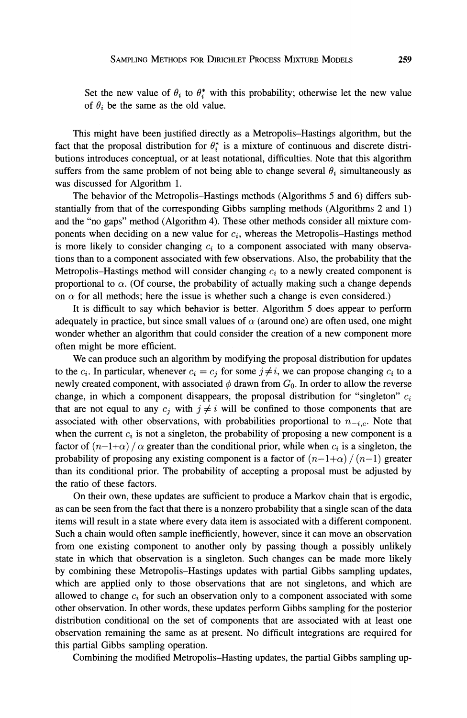Set the new value of  $\theta_i$  to  $\theta_i^*$  with this probability; otherwise let the new value of  $\theta_i$  be the same as the old value.

This might have been justified directly as a Metropolis-Hastings algorithm, but the fact that the proposal distribution for  $\theta_i^*$  is a mixture of continuous and discrete distributions introduces conceptual, or at least notational, difficulties. Note that this algorithm suffers from the same problem of not being able to change several  $\theta_i$  simultaneously as was discussed for Algorithm 1.

The behavior of the Metropolis-Hastings methods (Algorithms 5 and 6) differs substantially from that of the corresponding Gibbs sampling methods (Algorithms 2 and 1) and the "no gaps" method (Algorithm 4). These other methods consider all mixture components when deciding on a new value for *ci,* whereas the Metropolis-Hastings method is more likely to consider changing  $c_i$  to a component associated with many observations than to a component associated with few observations. Also, the probability that the Metropolis-Hastings method will consider changing  $c_i$  to a newly created component is proportional to  $\alpha$ . (Of course, the probability of actually making such a change depends on  $\alpha$  for all methods; here the issue is whether such a change is even considered.)

It is difficult to say which behavior is better. Algorithm 5 does appear to perform adequately in practice, but since small values of  $\alpha$  (around one) are often used, one might wonder whether an algorithm that could consider the creation of a new component more often might be more efficient.

We can produce such an algorithm by modifying the proposal distribution for updates to the  $c_i$ . In particular, whenever  $c_i = c_j$  for some  $j \neq i$ , we can propose changing  $c_i$  to a newly created component, with associated  $\phi$  drawn from  $G_0$ . In order to allow the reverse change, in which a component disappears, the proposal distribution for "singleton" *c,*  that are not equal to any  $c_i$  with  $j \neq i$  will be confined to those components that are associated with other observations, with probabilities proportional to  $n_{-i,c}$ . Note that when the current  $c_i$  is not a singleton, the probability of proposing a new component is a factor of  $(n-1+\alpha)/\alpha$  greater than the conditional prior, while when  $c_i$  is a singleton, the probability of proposing any existing component is a factor of  $\left(n-1+\alpha\right)/\left(n-1\right)$  greater than its conditional prior. The probability of accepting a proposal must be adjusted by the ratio of these factors.

On their own, these updates are sufficient to produce a Markov chain that is ergodic, as can be seen from the fact that there is a nonzero probability that a single scan of the data items will result in a state where every data item is associated with a different component. Such a chain would often sample inefficiently, however, since it can move an observation from one existing component to another only by passing though a possibly unlikely state in which that observation is a singleton. Such changes can be made more likely by combining these Metropolis-Hastings updates with partial Gibbs sampling updates, which are applied only to those observations that are not singletons, and which are allowed to change  $c_i$  for such an observation only to a component associated with some other observation. In other words, these updates perform Gibbs sampling for the posterior distribution conditional on the set of components that are associated with at least one observation remaining the same as at present. No difficult integrations are required for this partial Gibbs sampling operation.

Combining the modified Metropolis-Hasting updates, the partial Gibbs sampling up-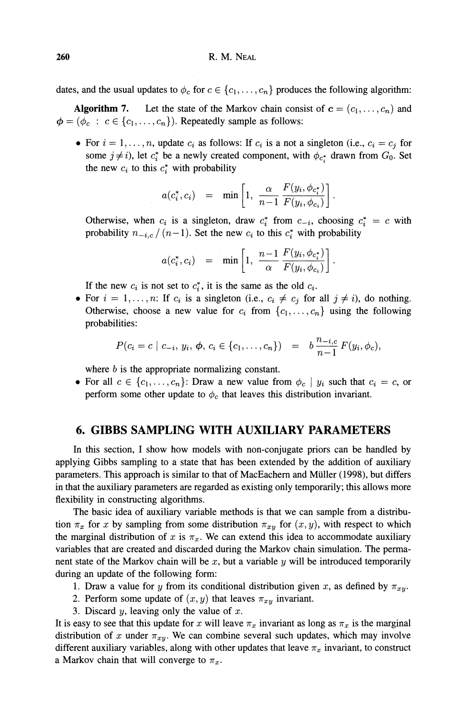dates, and the usual updates to  $\phi_c$  for  $c \in \{c_1, \ldots, c_n\}$  produces the following algorithm:

**Algorithm 7.** Let the state of the Markov chain consist of  $c = (c_1, \ldots, c_n)$  and  $\phi = (\phi_c : c \in \{c_1, \ldots, c_n\})$ . Repeatedly sample as follows:

• For  $i = 1, \ldots, n$ , update  $c_i$  as follows: If  $c_i$  is a not a singleton (i.e.,  $c_i = c_j$  for For  $i = 1, ..., n$ , update  $c_i$  as follows: If  $c_i$  is a not a singleton (i.e.,  $c_i = c_j$  for some  $j \neq i$ ), let  $c_i^*$  be a newly created component, with  $\phi_{c_i^*}$  drawn from  $G_0$ . Set the new  $c_i$  to this  $c_i^*$  with probabi the new  $c_i$  to this  $c_i^*$  with probability

$$
a(c_i^*, c_i) = \min\left[1, \frac{\alpha}{n-1} \frac{F(y_i, \phi_{c_i^*})}{F(y_i, \phi_{c_i})}\right]
$$

Otherwise, when  $c_i$  is a singleton, draw  $c_i^*$  from  $c_{-i}$ , choosing  $c_i^* = c$  with probability  $n_{-i,c}/(n-1)$ . Set the new  $c_i$  to this  $c_i^*$  with probability  $a(c_i^*, c_i) = \min\left[1, \frac{n-1}{\alpha} \frac{F(y_i, \phi_{c_i^*})}{F(y_i, \phi_{c_i})}\right]$ . probability  $n_{-i,c}$  /  $(n-1)$ . Set the new  $c_i$  to this  $c_i^*$  with probability

$$
a(c_i^*, c_i) = \min\left[1, \frac{n-1}{\alpha} \frac{F(y_i, \phi_{c_i^*})}{F(y_i, \phi_{c_i})}\right].
$$

If the new  $c_i$  is not set to  $c_i^*$ , it is the same as the old  $c_i$ .

• For  $i = 1, ..., n$ : If  $c_i$  is a singleton (i.e.,  $c_i \neq c_j$  for all  $j \neq i$ ), do nothing. Otherwise, choose a new value for  $c_i$  from  $\{c_1, \ldots, c_n\}$  using the following probabilities:

$$
P(c_i = c \mid c_{-i}, y_i, \phi, c_i \in \{c_1, \ldots, c_n\}) = b \frac{n_{-i,c}}{n-1} F(y_i, \phi_c),
$$

where  $b$  is the appropriate normalizing constant.

• For all  $c \in \{c_1, \ldots, c_n\}$ : Draw a new value from  $\phi_c \mid y_i$  such that  $c_i = c$ , or perform some other update to  $\phi_c$  that leaves this distribution invariant.

#### **6. GIBBS SAMPLING WITH AUXILIARY PARAMETERS**

In this section, I show how models with non-conjugate priors can be handled by applying Gibbs sampling to a state that has been extended by the addition of auxiliary parameters. This approach is similar to that of MacEachern and Miiller (1998), but differs in that the auxiliary parameters are regarded as existing only temporarily; this allows more flexibility in constructing algorithms.

The basic idea of auxiliary variable methods is that we can sample from a distribution  $\pi_x$  for *x* by sampling from some distribution  $\pi_{xy}$  for  $(x, y)$ , with respect to which the marginal distribution of x is  $\pi_x$ . We can extend this idea to accommodate auxiliary variables that are created and discarded during the Markov chain simulation. The permanent state of the Markov chain will be  $x$ , but a variable  $y$  will be introduced temporarily during an update of the following form:

- *1.* Draw a value for *y* from its conditional distribution given *x*, as defined by  $\pi_{xy}$ .
- 2. Perform some update of  $(x, y)$  that leaves  $\pi_{xy}$  invariant.
- 3. Discard *y,* leaving only the value of x.

It is easy to see that this update for x will leave  $\pi_x$  invariant as long as  $\pi_x$  is the marginal distribution of x under  $\pi_{xy}$ . We can combine several such updates, which may involve different auxiliary variables, along with other updates that leave  $\pi_x$  invariant, to construct a Markov chain that will converge to  $\pi_x$ .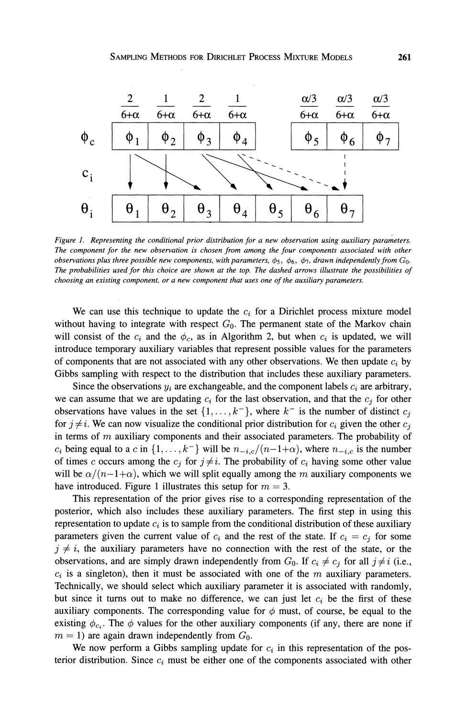

*Figure* 1. *Representing the conditional prior distribution for a new observation using auxiliaty parameters. The component for the new observation is chosen from among the four components associated with other observations plus three possible new components, with parameters,*  $\phi_5$ *,*  $\phi_6$ *,*  $\phi_7$ *, drawn independently from*  $G_0$ *. The probabilities used for this choice are shown at the top. The dashed arrows illustrate the possibilities of choosing an existing component, or a new component that uses one of the auxiliaty parameters.* 

We can use this technique to update the  $c_i$  for a Dirichlet process mixture model without having to integrate with respect  $G_0$ . The permanent state of the Markov chain will consist of the  $c_i$  and the  $\phi_c$ , as in Algorithm 2, but when  $c_i$  is updated, we will introduce temporary auxiliary variables that represent possible values for the parameters of components that are not associated with any other observations. We then update  $c_i$  by Gibbs sampling with respect to the distribution that includes these auxiliary parameters.

Since the observations  $y_i$  are exchangeable, and the component labels  $c_i$  are arbitrary, we can assume that we are updating  $c_i$  for the last observation, and that the  $c_j$  for other observations have values in the set  $\{1, \ldots, k^-\}$ , where  $k^-$  is the number of distinct  $c_j$ for  $j \neq i$ . We can now visualize the conditional prior distribution for  $c_i$  given the other  $c_j$ in terms of  $m$  auxiliary components and their associated parameters. The probability of *c<sub>i</sub>* being equal to a *c* in  $\{1, \ldots, k^{-}\}$  will be  $n_{-i,c}/(n-1+\alpha)$ , where  $n_{-i,c}$  is the number of times *c* occurs among the  $c_j$  for  $j \neq i$ . The probability of  $c_i$  having some other value will be  $\alpha/(n-1+\alpha)$ , which we will split equally among the m auxiliary components we have introduced. Figure 1 illustrates this setup for  $m = 3$ .

This representation of the prior gives rise to a corresponding representation of the posterior, which also includes these auxiliary parameters. The first step in using this representation to update  $c_i$  is to sample from the conditional distribution of these auxiliary parameters given the current value of  $c_i$  and the rest of the state. If  $c_i = c_j$  for some  $j \neq i$ , the auxiliary parameters have no connection with the rest of the state, or the observations, and are simply drawn independently from  $G_0$ . If  $c_i \neq c_j$  for all  $j \neq i$  (i.e.,  $c_i$  is a singleton), then it must be associated with one of the m auxiliary parameters. Technically, we should select which auxiliary parameter it is associated with randomly, but since it turns out to make no difference, we can just let  $c_i$  be the first of these auxiliary components. The corresponding value for  $\phi$  must, of course, be equal to the existing  $\phi_{c_i}$ . The  $\phi$  values for the other auxiliary components (if any, there are none if  $m = 1$ ) are again drawn independently from  $G_0$ .

We now perform a Gibbs sampling update for  $c_i$  in this representation of the posterior distribution. Since  $c_i$  must be either one of the components associated with other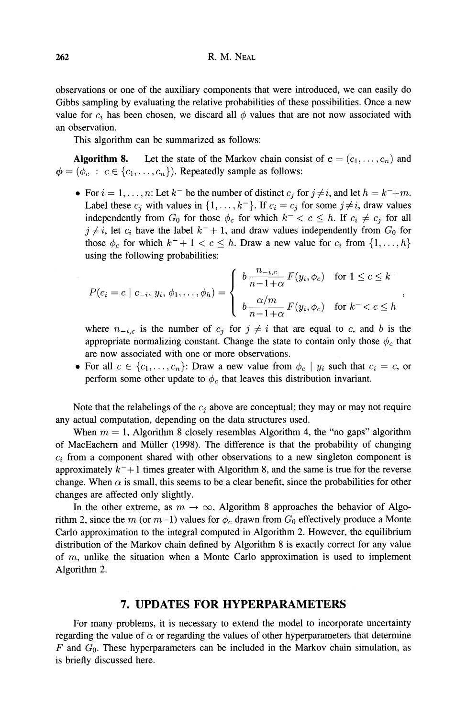observations or one of the auxiliary components that were introduced, we can easily do Gibbs sampling by evaluating the relative probabilities of these possibilities. Once a new value for  $c_i$  has been chosen, we discard all  $\phi$  values that are not now associated with an observation.

This algorithm can be summarized as follows:

**Algorithm 8.** Let the state of the Markov chain consist of  $c = (c_1, \ldots, c_n)$  and  $\phi = (\phi_c : c \in \{c_1, \ldots, c_n\})$ . Repeatedly sample as follows:

• For  $i = 1, \ldots, n$ : Let  $k^-$  be the number of distinct  $c_j$  for  $j \neq i$ , and let  $h = k^- + m$ . Label these  $c_j$  with values in  $\{1, \ldots, k^-\}$ . If  $c_i = c_j$  for some  $j \neq i$ , draw values independently from  $G_0$  for those  $\phi_c$  for which  $k^- < c \leq h$ . If  $c_i \neq c_j$  for all  $j \neq i$ , let  $c_i$  have the label  $k^- + 1$ , and draw values independently from  $G_0$  for those  $\phi_c$  for which  $k^- + 1 < c \leq h$ . Draw a new value for  $c_i$  from  $\{1, \ldots, h\}$ using the following probabilities:

$$
P(c_i = c \mid c_{-i}, y_i, \phi_1, \dots, \phi_h) = \begin{cases} b \frac{n_{-i,c}}{n-1+\alpha} F(y_i, \phi_c) & \text{for } 1 \leq c \leq k^- \\ b \frac{\alpha/m}{n-1+\alpha} F(y_i, \phi_c) & \text{for } k^- < c \leq h \end{cases},
$$

where  $n_{-i,c}$  is the number of  $c_j$  for  $j \neq i$  that are equal to *c*, and *b* is the appropriate normalizing constant. Change the state to contain only those  $\phi_c$  that are now associated with one or more observations.

• For all  $c \in \{c_1, \ldots, c_n\}$ : Draw a new value from  $\phi_c \mid y_i$  such that  $c_i = c$ , or perform some other update to  $\phi_c$  that leaves this distribution invariant.

Note that the relabelings of the  $c_j$  above are conceptual; they may or may not require any actual computation, depending on the data structures used.

When  $m = 1$ , Algorithm 8 closely resembles Algorithm 4, the "no gaps" algorithm of MacEachern and Miiller *(1998).* The difference is that the probability of changing  $c_i$  from a component shared with other observations to a new singleton component is approximately  $k^{-}+1$  times greater with Algorithm 8, and the same is true for the reverse change. When  $\alpha$  is small, this seems to be a clear benefit, since the probabilities for other changes are affected only slightly.

In the other extreme, as  $m \to \infty$ , Algorithm 8 approaches the behavior of Algorithm 2, since the *m* (or  $m-1$ ) values for  $\phi_c$  drawn from  $G_0$  effectively produce a Monte Carlo approximation to the integral computed in Algorithm 2. However, the equilibrium distribution of the Markov chain defined by Algorithm *8* is exactly correct for any value of *m,* unlike the situation when a Monte Carlo approximation is used to implement Algorithm 2.

#### **7. UPDATES FOR HYPERPARAMETERS**

For many problems, it is necessary to extend the model to incorporate uncertainty regarding the value of  $\alpha$  or regarding the values of other hyperparameters that determine *F* and Go. These hyperparameters can be included in the Markov chain simulation, as is briefly discussed here.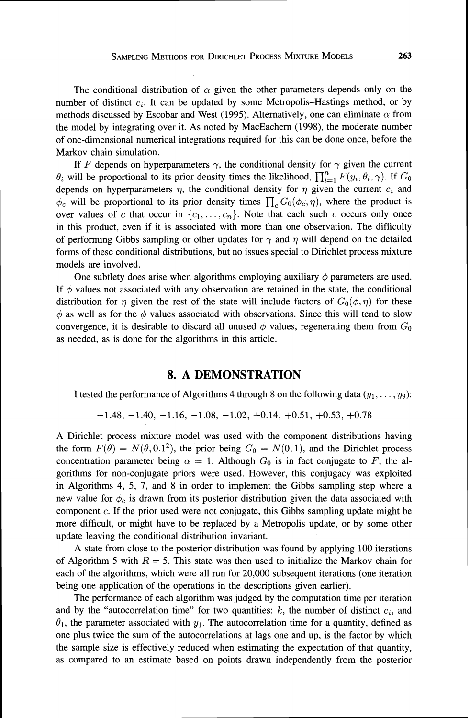The conditional distribution of  $\alpha$  given the other parameters depends only on the number of distinct  $c_i$ . It can be updated by some Metropolis-Hastings method, or by methods discussed by Escobar and West (1995). Alternatively, one can eliminate  $\alpha$  from the model by integrating over it. As noted by MacEachern (1998), the moderate number of one-dimensional numerical integrations required for this can be done once, before the Markov chain simulation.

If *F* depends on hyperparameters  $\gamma$ , the conditional density for  $\gamma$  given the current  $\theta_i$  will be proportional to its prior density times the likelihood,  $\prod_{i=1}^n F(y_i,\theta_i,\gamma)$ . If  $G_0$ depends on hyperparameters  $\eta$ , the conditional density for  $\eta$  given the current  $c_i$  and  $\phi_c$  will be proportional to its prior density times  $\prod_c G_0(\phi_c, \eta)$ , where the product is over values of c that occur in  $\{c_1, \ldots, c_n\}$ . Note that each such c occurs only once in this product, even if it is associated with more than one observation. The difficulty of performing Gibbs sampling or other updates for  $\gamma$  and  $\eta$  will depend on the detailed forms of these conditional distributions, but no issues special to Dirichlet process mixture models are involved.

One subtlety does arise when algorithms employing auxiliary  $\phi$  parameters are used. If  $\phi$  values not associated with any observation are retained in the state, the conditional distribution for  $\eta$  given the rest of the state will include factors of  $G_0(\phi, \eta)$  for these  $\phi$  as well as for the  $\phi$  values associated with observations. Since this will tend to slow convergence, it is desirable to discard all unused  $\phi$  values, regenerating them from  $G_0$ as needed, as is done for the algorithms in this article.

#### **8. A DEMONSTRATION**

I tested the performance of Algorithms 4 through 8 on the following data  $(y_1, \ldots, y_9)$ :

$$
-1.48, -1.40, -1.16, -1.08, -1.02, +0.14, +0.51, +0.53, +0.78
$$

A Dirichlet process mixture model was used with the component distributions having the form  $F(\theta) = N(\theta, 0.1^2)$ , the prior being  $G_0 = N(0, 1)$ , and the Dirichlet process concentration parameter being  $\alpha = 1$ . Although  $G_0$  is in fact conjugate to F, the algorithms for non-conjugate priors were used. However, this conjugacy was exploited in Algorithms 4, 5, 7, and 8 in order to implement the Gibbs sampling step where a new value for  $\phi_c$  is drawn from its posterior distribution given the data associated with component c. If the prior used were not conjugate, this Gibbs sampling update might be more difficult, or might have to be replaced by a Metropolis update, or by some other update leaving the conditional distribution invariant.

A state from close to the posterior distribution was found by applying 100 iterations of Algorithm 5 with  $R = 5$ . This state was then used to initialize the Markov chain for each of the algorithms, which were all run for 20,000 subsequent iterations (one iteration being one application of the operations in the descriptions given earlier).

The performance of each algorithm was judged by the computation time per iteration and by the "autocorrelation time" for two quantities:  $k$ , the number of distinct  $c_i$ , and  $\theta_1$ , the parameter associated with  $y_1$ . The autocorrelation time for a quantity, defined as one plus twice the sum of the autocorrelations at lags one and up, is the factor by which the sample size is effectively reduced when estimating the expectation of that quantity, as compared to an estimate based on points drawn independently from the posterior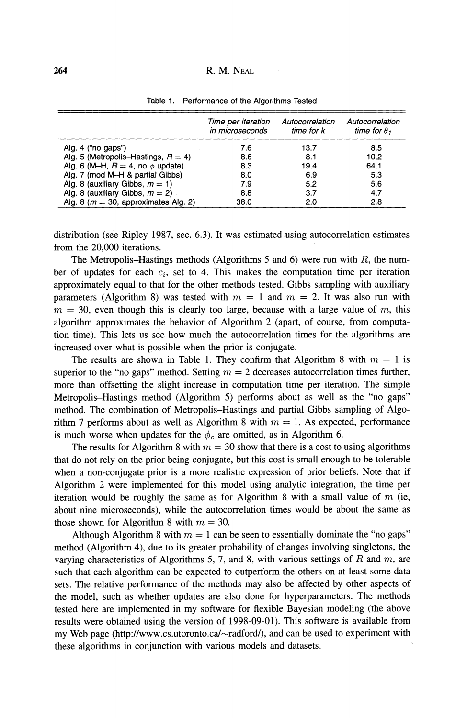#### R. M. NEAL

|                                          | Time per iteration<br>in microseconds | Autocorrelation<br>time for k | Autocorrelation<br>time for $\theta_1$ |
|------------------------------------------|---------------------------------------|-------------------------------|----------------------------------------|
| Alg. $4$ ("no gaps")                     | 7.6                                   | 13.7                          | 8.5                                    |
| Alg. 5 (Metropolis–Hastings, $R = 4$ )   | 8.6                                   | 8.1                           | 10.2                                   |
| Alg. 6 (M-H, $R = 4$ , no $\phi$ update) | 8.3                                   | 19.4                          | 64.1                                   |
| Alg. 7 (mod M-H & partial Gibbs)         | 8.0                                   | 6.9                           | 5.3                                    |
| Alg. 8 (auxiliary Gibbs, $m = 1$ )       | 7.9                                   | 5.2                           | 5.6                                    |
| Alg. 8 (auxiliary Gibbs, $m = 2$ )       | 8.8                                   | 3.7                           | 4.7                                    |
| Alg. 8 ( $m = 30$ , approximates Alg. 2) | 38.0                                  | 2.0                           | 2.8                                    |

Table 1. Performance of the Algorithms Tested

distribution (see Ripley 1987, sec. 6.3). It was estimated using autocorrelation estimates from the 20,000 iterations.

The Metropolis-Hastings methods (Algorithms 5 and 6) were run with  $R$ , the number of updates for each  $c_i$ , set to 4. This makes the computation time per iteration approximately equal to that for the other methods tested. Gibbs sampling with auxiliary parameters (Algorithm 8) was tested with  $m = 1$  and  $m = 2$ . It was also run with  $m = 30$ , even though this is clearly too large, because with a large value of m, this algorithm approximates the behavior of Algorithm 2 (apart, of course, from computation time). This lets us see how much the autocorrelation times for the algorithms are increased over what is possible when the prior is conjugate.

The results are shown in Table 1. They confirm that Algorithm 8 with  $m = 1$  is superior to the "no gaps" method. Setting  $m = 2$  decreases autocorrelation times further, more than offsetting the slight increase in computation time per iteration. The simple Metropolis-Hastings method (Algorithm 5) performs about as well as the "no gaps" method. The combination of Metropolis-Hastings and partial Gibbs sampling of Algorithm 7 performs about as well as Algorithm 8 with  $m = 1$ . As expected, performance is much worse when updates for the  $\phi_c$  are omitted, as in Algorithm 6.

The results for Algorithm 8 with  $m = 30$  show that there is a cost to using algorithms that do not rely on the prior being conjugate, but this cost is small enough to be tolerable when a non-conjugate prior is a more realistic expression of prior beliefs. Note that if Algorithm 2 were implemented for this model using analytic integration, the time per iteration would be roughly the same as for Algorithm 8 with a small value of  $m$  (ie, about nine microseconds), while the autocorrelation times would be about the same as those shown for Algorithm 8 with  $m = 30$ .

Although Algorithm 8 with  $m = 1$  can be seen to essentially dominate the "no gaps" method (Algorithm 4), due to its greater probability of changes involving singletons, the varying characteristics of Algorithms 5, 7, and 8, with various settings of R and  $m$ , are such that each algorithm can be expected to outperform the others on at least some data sets. The relative performance of the methods may also be affected by other aspects of the model, such as whether updates are also done for hyperparameters. The methods tested here are implemented in my software for flexible Bayesian modeling (the above results were obtained using the version of 1998-09-01). This software is available from my Web page **(http://www.cs.utoronto.ca/-radfordl),**and can be used to experiment with these algorithms in conjunction with various models and datasets.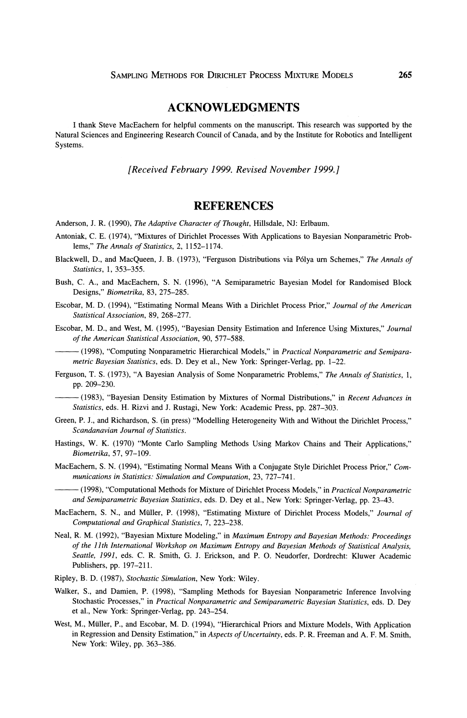#### **ACKNOWLEDGMENTS**

I thank Steve MacEachem for helpful comments on the manuscript. This research was supported by the Natural Sciences and Engineering Research Council of Canada, and by the Institute for Robotics and Intelligent Systems.

*[Received February 1999. Revised November 1999.1* 

#### **REFERENCES**

- Anderson, J. R. (1990), *The Adaptive Character of Thought,* Hillsdale, NJ: Erlbaum.
- Antoniak, C. E. (1974), "Mixtures of Dirichlet Processes With Applications to Bayesian Nonparametric Problems," *The Annals of Statistics,* 2, 1152-1 174.
- Blackwell, D., and MacQueen, J. B. (1973), "Ferguson Distributions via Pdlya um Schemes," *The Annals of Statistics,* 1, 353-355.
- Bush, C. A., and MacEachem, S. N. (1996), "A Semiparametric Bayesian Model for Randomised Block Designs," *Biometrika,* 83, 275-285.
- Escobar, M. D. (1994), "Estimating Normal Means With a Dirichlet Process Prior," *Journal of the American Statistical Association,* 89, 268-277.

Escobar, M. D., and West, M. (1995), "Bayesian Density Estimation and Inference Using Mixtures," *Journal of the American Statistical Association,* 90, 577-588. Designs," Biometrika, 83, 275–285.<br>
Escobar, M. D. (1994), "Estimating Normal Means With a Dirichlet Process Prior," Journal of the American<br>
Statistical Association, 89, 268–277.<br>
Escobar, M. D., and West, M. (1995), "Bay

*metric Bayesian Statistics,* eds. D. Dey et al., New York: Springer-Verlag, pp. 1-22.

Ferguson, T. S. (1973), "A Bayesian Analysis of Some Nonparametric Problems," *The Annals of Statistics,* 1, pp. 209-230. Exercisi, *H. D.*, and *Hoss, H. (1995), Bayesian Density Estimation and Interacte Osing Mixtures, Journal*<br>of the American Statistical Association, 90, 577–588.<br>—— (1998), "Computing Nonparametric Hierarchical Models," in

*Statistics,* eds. H. Rizvi and J. Rustagi, New York: Academic Press, pp. 287-303.

- Green, P. J., and Richardson, S. (in press) "Modelling Heterogeneity With and Without the Dirichlet Process," *Scandanavian Journal of Statistics.*
- Hastings, W. K. (1970) "Monte Carlo Sampling Methods Using Markov Chains and Their Applications," *Biometrika,* 57, 97-109.
- MacEachem, S. N. (1994), "Estimating Normal Means With a Conjugate Style Dirichlet Process Prior," *Communications in Statistics: Simulation and Computation,* 23, 727-741. Scandanavian Journal of Statistics.<br>
Hastings, W. K. (1970) "Monte Carlo Sampling Methods Using Markov Chains and Their Applications,"<br>
Biometrika, 57, 97–109.<br>
MacEachern, S. N. (1994), "Estimating Normal Means With a Con
- *and Semiparametric Bayesian Statistics,* eds. D. Dey et al., New York: Springer-Verlag, pp. 23-43.
- MacEachem, S. N., and Miiller, P. (1998), "Estimating Mixture of Dirichlet Process Models," *Journal of Computational and Graphical Statistics,* 7, 223-238.
- Neal, R. M. (1992), "Bayesian Mixture Modeling," in *Maximum Entropy and Bayesian Methods: Proceedings of the 11th International Workshop on Maximum Entropy and Bayesian Methods of Statistical Analysis, Seattle, 1991,* eds. C. R. Smith, G. J. Erickson, and P. 0. Neudorfer, Dordrecht: Kluwer Academic Publishers, pp. 197-21 1.
- Ripley, B. D. (1987), *Stochastic Simulation,* New York: Wiley.
- Walker, S., and Damien, P. (1998), "Sampling Methods for Bayesian Nonparametric Inference Involving Stochastic Processes," in *Practical Nonparametric and Semiparametric Bayesian Statistics,* eds. D. Dey et al., New York: Springer-Verlag, pp. 243-254.
- West, M., Miiller, P., and Escobar, M. D. (1994), "Hierarchical Priors and Mixture Models, With Application in Regression and Density Estimation," in *Aspects of Uncertainr);,* eds. P. R. Freeman and A. F. M. Smith, New York: Wiley, pp. 363-386.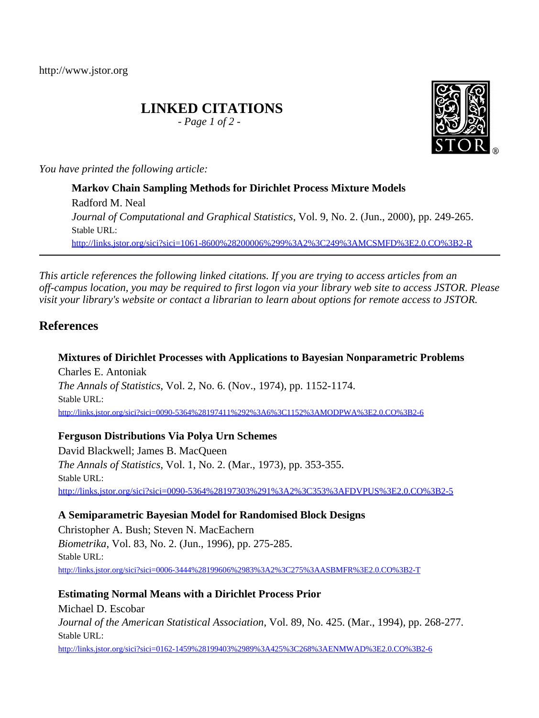http://www.jstor.org

# **LINKED CITATIONS**

*- Page 1 of 2 -*



*You have printed the following article:*

**Markov Chain Sampling Methods for Dirichlet Process Mixture Models** Radford M. Neal *Journal of Computational and Graphical Statistics*, Vol. 9, No. 2. (Jun., 2000), pp. 249-265. Stable URL: [http://links.jstor.org/sici?sici=1061-8600%28200006%299%3A2%3C249%3AMCSMFD%3E2.0.CO%3B2-R](http://links.jstor.org/sici?sici=1061-8600%28200006%299%3A2%3C249%3AMCSMFD%3E2.0.CO%3B2-R&origin=JSTOR-pdf)

*This article references the following linked citations. If you are trying to access articles from an off-campus location, you may be required to first logon via your library web site to access JSTOR. Please visit your library's website or contact a librarian to learn about options for remote access to JSTOR.*

## **References**

**Mixtures of Dirichlet Processes with Applications to Bayesian Nonparametric Problems** Charles E. Antoniak *The Annals of Statistics*, Vol. 2, No. 6. (Nov., 1974), pp. 1152-1174. Stable URL: [http://links.jstor.org/sici?sici=0090-5364%28197411%292%3A6%3C1152%3AMODPWA%3E2.0.CO%3B2-6](http://links.jstor.org/sici?sici=0090-5364%28197411%292%3A6%3C1152%3AMODPWA%3E2.0.CO%3B2-6&origin=JSTOR-pdf)

## **Ferguson Distributions Via Polya Urn Schemes**

David Blackwell; James B. MacQueen *The Annals of Statistics*, Vol. 1, No. 2. (Mar., 1973), pp. 353-355. Stable URL: [http://links.jstor.org/sici?sici=0090-5364%28197303%291%3A2%3C353%3AFDVPUS%3E2.0.CO%3B2-5](http://links.jstor.org/sici?sici=0090-5364%28197303%291%3A2%3C353%3AFDVPUS%3E2.0.CO%3B2-5&origin=JSTOR-pdf)

**A Semiparametric Bayesian Model for Randomised Block Designs**

Christopher A. Bush; Steven N. MacEachern *Biometrika*, Vol. 83, No. 2. (Jun., 1996), pp. 275-285. Stable URL: [http://links.jstor.org/sici?sici=0006-3444%28199606%2983%3A2%3C275%3AASBMFR%3E2.0.CO%3B2-T](http://links.jstor.org/sici?sici=0006-3444%28199606%2983%3A2%3C275%3AASBMFR%3E2.0.CO%3B2-T&origin=JSTOR-pdf)

**Estimating Normal Means with a Dirichlet Process Prior**

Michael D. Escobar *Journal of the American Statistical Association*, Vol. 89, No. 425. (Mar., 1994), pp. 268-277. Stable URL: [http://links.jstor.org/sici?sici=0162-1459%28199403%2989%3A425%3C268%3AENMWAD%3E2.0.CO%3B2-6](http://links.jstor.org/sici?sici=0162-1459%28199403%2989%3A425%3C268%3AENMWAD%3E2.0.CO%3B2-6&origin=JSTOR-pdf)